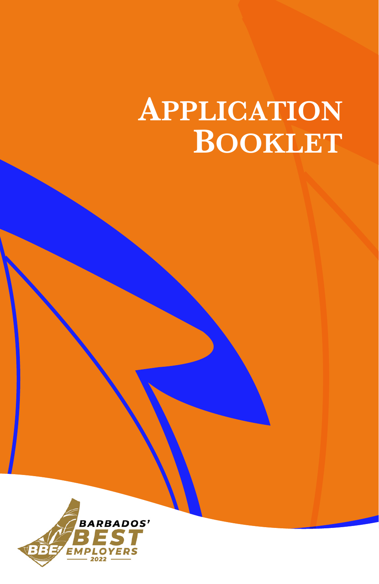# **APPLICATION BOOKLET**

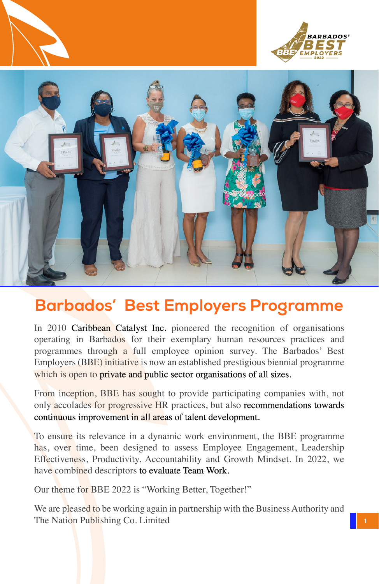





### **Barbados' Best Employers Programme**

In 2010 **Caribbean Catalyst Inc.** pioneered the recognition of organisations operating in Barbados for their exemplary human resources practices and programmes through a full employee opinion survey. The Barbados' Best Employers (BBE) initiative is now an established prestigious biennial programme which is open to **private and public sector organisations of all sizes.** 

From inception, BBE has sought to provide participating companies with, not only accolades for progressive HR practices, but also **recommendations towards** continuous improvement in all areas of talent development.

To ensure its relevance in a dynamic work environment, the BBE programme has, over time, been designed to assess Employee Engagement, Leadership Effectiveness, Productivity, Accountability and Growth Mindset. In 2022, we have combined descriptors to evaluate Team Work.

Our theme for BBE 2022 is "Working Better, Together!"

We are pleased to be working again in partnership with the Business Authority and The Nation Publishing Co. Limited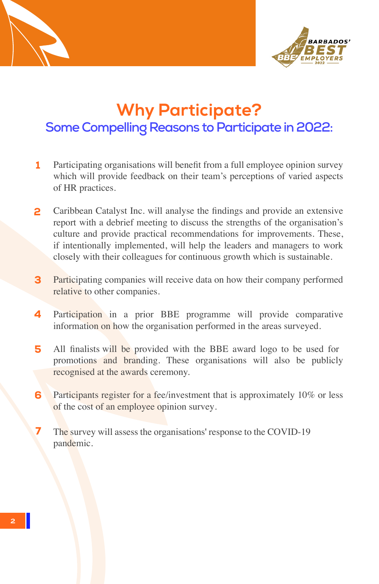



### **Why Participate? Some Compelling Reasons to Participate in 2022:**

- 1 Participating organisations will benefit from a full employee opinion survey which will provide feedback on their team's perceptions of varied aspects of HR practices.
- 2 Caribbean Catalyst Inc. will analyse the findings and provide an extensive report with a debrief meeting to discuss the strengths of the organisation's culture and provide practical recommendations for improvements. These, if intentionally implemented, will help the leaders and managers to work closely with their colleagues for continuous growth which is sustainable.
- 3 Participating companies will receive data on how their company performed relative to other companies.
- 4 Participation in a prior BBE programme will provide comparative information on how the organisation performed in the areas surveyed.
- 5 All finalists will be provided with the BBE award logo to be used for promotions and branding. These organisations will also be publicly recognised at the awards ceremony.
- 6 Participants register for a fee/investment that is approximately 10% or less of the cost of an employee opinion survey.
- 7 The survey will assess the organisations' response to the COVID-19 pandemic.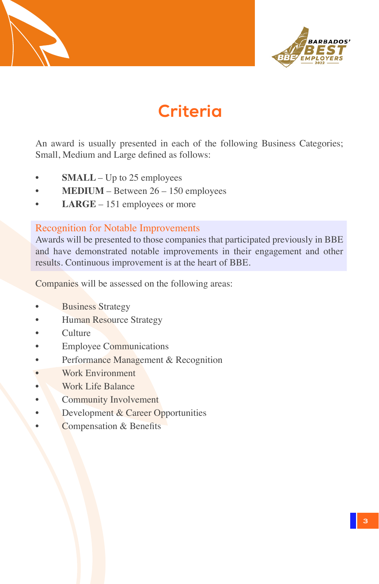



### **Criteria**

An award is usually presented in each of the following Business Categories; Small, Medium and Large defined as follows:

- **SMALL** Up to 25 employees
- **MEDIUM** Between 26 150 employees
- **LARGE** 151 employees or more

#### Recognition for Notable Improvements

Awards will be presented to those companies that participated previously in BBE and have demonstrated notable improvements in their engagement and other results. Continuous improvement is at the heart of BBE.

Companies will be assessed on the following areas:

- **Business Strategy**
- **Human Resource Strategy**
- Culture
- **Employee Communications**
- Performance Management & Recognition
- Work Environment
- Work Life Balance
- Community Involvement
- Development & Career Opportunities
- Compensation & Benefits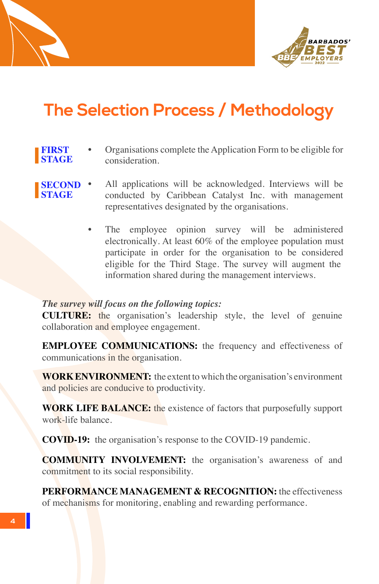



## **The Selection Process / Methodology**

- Organisations complete the Application Form to be eligible for consideration. **FIRST STAGE**
- **SECOND STAGE**
- All applications will be acknowledged. Interviews will be conducted by Caribbean Catalyst Inc. with management representatives designated by the organisations.
	- The employee opinion survey will be administered electronically. At least 60% of the employee population must participate in order for the organisation to be considered eligible for the Third Stage. The survey will augment the information shared during the management interviews.

#### *The survey will focus on the following topics:*

**CULTURE:** the organisation's leadership style, the level of genuine collaboration and employee engagement.

**EMPLOYEE COMMUNICATIONS:** the frequency and effectiveness of communications in the organisation.

**WORK ENVIRONMENT:** the extent to which the organisation's environment and policies are conducive to productivity.

**WORK LIFE BALANCE:** the existence of factors that purposefully support work-life balance.

**COVID-19:** the organisation's response to the COVID-19 pandemic.

**COMMUNITY INVOLVEMENT:** the organisation's awareness of and commitment to its social responsibility.

**PERFORMANCE MANAGEMENT & RECOGNITION:** the effectiveness of mechanisms for monitoring, enabling and rewarding performance.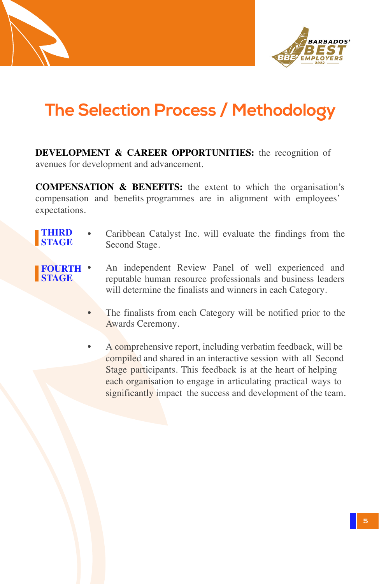



# **The Selection Process / Methodology**

**DEVELOPMENT & CAREER OPPORTUNITIES:** the recognition of avenues for development and advancement.

**COMPENSATION & BENEFITS:** the extent to which the organisation's compensation and benefits programmes are in alignment with employees' expectations.

- Caribbean Catalyst Inc. will evaluate the findings from the Second Stage. **THIRD STAGE**
- An independent Review Panel of well experienced and reputable human resource professionals and business leaders will determine the finalists and winners in each Category. **FOURTH STAGE**
	- The finalists from each Category will be notified prior to the Awards Ceremony.
	- A comprehensive report, including verbatim feedback, will be compiled and shared in an interactive session with all Second Stage participants. This feedback is at the heart of helping each organisation to engage in articulating practical ways to significantly impact the success and development of the team.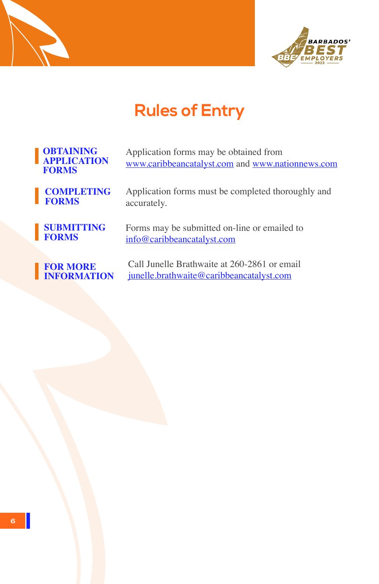



# **Rules of Entry**

| <b>OBTAINING</b><br><b>APPLICATION</b><br><b>FORMS</b> | Application forms may be obtained from<br>www.caribbeancatalyst.com and www.nationnews.com |
|--------------------------------------------------------|--------------------------------------------------------------------------------------------|
| <b>COMPLETING</b>                                      | Application forms must be completed thoroughly and                                         |
| <b>FORMS</b>                                           | accurately.                                                                                |
| <b>SUBMITTING</b>                                      | Forms may be submitted on-line or emailed to                                               |
| <b>FORMS</b>                                           | info@caribbeancatalyst.com                                                                 |
| <b>FOR MORE</b>                                        | Call Junelle Brathwaite at 260-2861 or email                                               |
| <b>INFORMATION</b>                                     | <u>junelle.brathwaite@caribbeancatalyst.com</u>                                            |